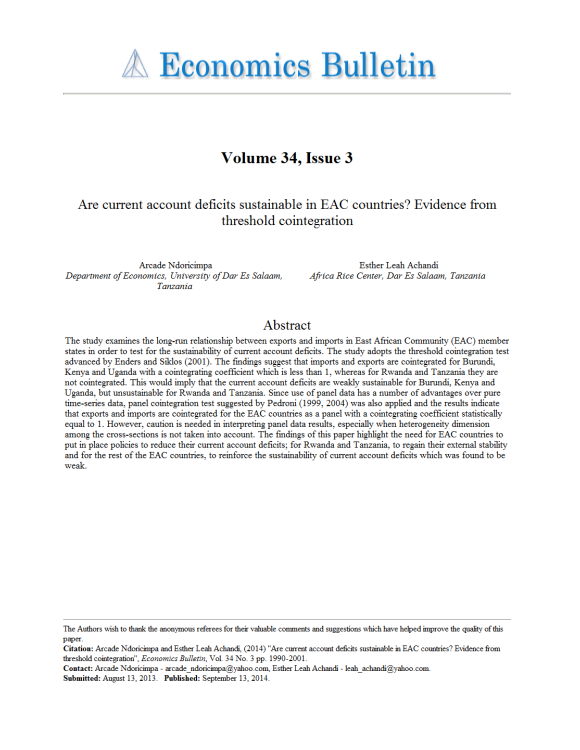# **A Economics Bulletin**

# Volume 34, Issue 3

## Are current account deficits sustainable in EAC countries? Evidence from threshold cointegration

Arcade Ndoricimpa Department of Economics, University of Dar Es Salaam, Tanzania

Esther Leah Achandi Africa Rice Center, Dar Es Salaam, Tanzania

### Abstract

The study examines the long-run relationship between exports and imports in East African Community (EAC) member states in order to test for the sustainability of current account deficits. The study adopts the threshold cointegration test advanced by Enders and Siklos (2001). The findings suggest that imports and exports are cointegrated for Burundi, Kenya and Uganda with a cointegrating coefficient which is less than 1, whereas for Rwanda and Tanzania they are not cointegrated. This would imply that the current account deficits are weakly sustainable for Burundi, Kenya and Uganda, but unsustainable for Rwanda and Tanzania. Since use of panel data has a number of advantages over pure time-series data, panel cointegration test suggested by Pedroni (1999, 2004) was also applied and the results indicate that exports and imports are cointegrated for the EAC countries as a panel with a cointegrating coefficient statistically equal to 1. However, caution is needed in interpreting panel data results, especially when heterogeneity dimension among the cross-sections is not taken into account. The findings of this paper highlight the need for EAC countries to put in place policies to reduce their current account deficits; for Rwanda and Tanzania, to regain their external stability and for the rest of the EAC countries, to reinforce the sustainability of current account deficits which was found to be weak.

Contact: Arcade Ndoricimpa - arcade\_ndoricimpa@yahoo.com, Esther Leah Achandi - leah\_achandi@yahoo.com. Submitted: August 13, 2013. Published: September 13, 2014.

The Authors wish to thank the anonymous referees for their valuable comments and suggestions which have helped improve the quality of this paper.

Citation: Arcade Ndoricimpa and Esther Leah Achandi, (2014) "Are current account deficits sustainable in EAC countries? Evidence from threshold cointegration", Economics Bulletin, Vol. 34 No. 3 pp. 1990-2001.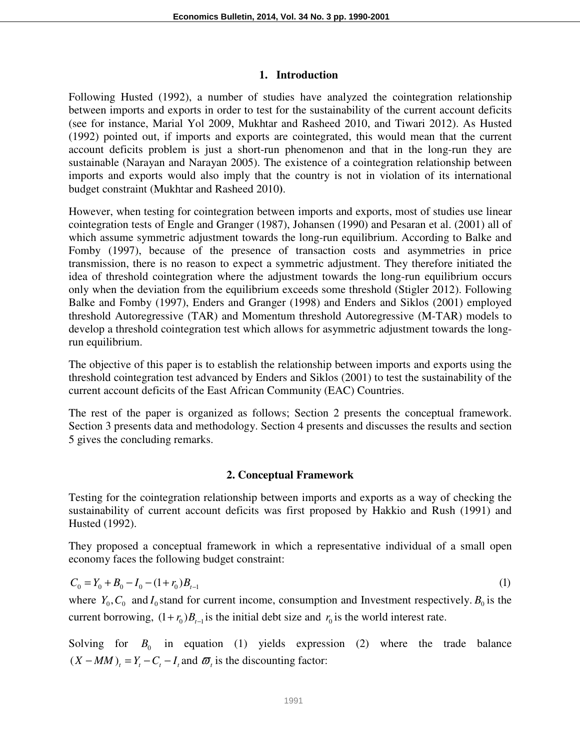#### **1. Introduction**

Following Husted (1992), a number of studies have analyzed the cointegration relationship between imports and exports in order to test for the sustainability of the current account deficits (see for instance, Marial Yol 2009, Mukhtar and Rasheed 2010, and Tiwari 2012). As Husted (1992) pointed out, if imports and exports are cointegrated, this would mean that the current account deficits problem is just a short-run phenomenon and that in the long-run they are sustainable (Narayan and Narayan 2005). The existence of a cointegration relationship between imports and exports would also imply that the country is not in violation of its international budget constraint (Mukhtar and Rasheed 2010**)**.

However, when testing for cointegration between imports and exports, most of studies use linear cointegration tests of Engle and Granger (1987), Johansen (1990) and Pesaran et al. (2001) all of which assume symmetric adjustment towards the long-run equilibrium. According to Balke and Fomby (1997), because of the presence of transaction costs and asymmetries in price transmission, there is no reason to expect a symmetric adjustment. They therefore initiated the idea of threshold cointegration where the adjustment towards the long-run equilibrium occurs only when the deviation from the equilibrium exceeds some threshold (Stigler 2012). Following Balke and Fomby (1997), Enders and Granger (1998) and Enders and Siklos (2001) employed threshold Autoregressive (TAR) and Momentum threshold Autoregressive (M-TAR) models to develop a threshold cointegration test which allows for asymmetric adjustment towards the longrun equilibrium.

The objective of this paper is to establish the relationship between imports and exports using the threshold cointegration test advanced by Enders and Siklos (2001) to test the sustainability of the current account deficits of the East African Community (EAC) Countries.

The rest of the paper is organized as follows; Section 2 presents the conceptual framework. Section 3 presents data and methodology. Section 4 presents and discusses the results and section 5 gives the concluding remarks.

#### **2. Conceptual Framework**

Testing for the cointegration relationship between imports and exports as a way of checking the sustainability of current account deficits was first proposed by Hakkio and Rush (1991) and Husted (1992).

They proposed a conceptual framework in which a representative individual of a small open economy faces the following budget constraint:

$$
C_0 = Y_0 + B_0 - I_0 - (1 + r_0)B_{t-1}
$$
 (1)

where  $Y_0$ ,  $C_0$  and  $I_0$  stand for current income, consumption and Investment respectively.  $B_0$  is the current borrowing,  $(1 + r_0)B_{t-1}$  is the initial debt size and  $r_0$  is the world interest rate.

Solving for  $B_0$  in equation (1) yields expression (2) where the trade balance  $(X - MM)_t = Y_t - C_t - I_t$  and  $\varpi_t$  is the discounting factor: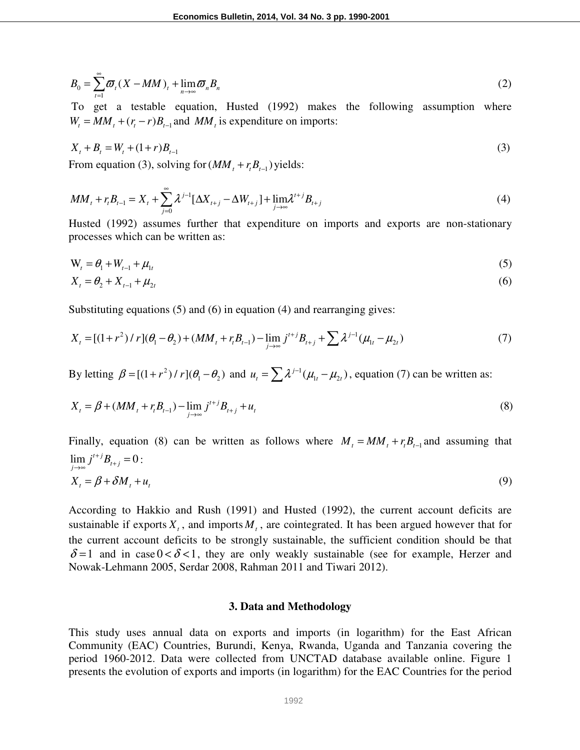$$
B_0 = \sum_{t=1}^{\infty} \mathcal{D}_t (X - MM)_t + \lim_{n \to \infty} \mathcal{D}_n B_n \tag{2}
$$

 To get a testable equation, Husted (1992) makes the following assumption where  $W_t = MM_t + (r_t - r)B_{t-1}$  and  $MM_t$  is expenditure on imports:

$$
X_t + B_t = W_t + (1+r)B_{t-1}
$$
\n(3)

From equation (3), solving for  $(MM_t + r_t B_{t-1})$  yields:

$$
MM_{t} + r_{t}B_{t-1} = X_{t} + \sum_{j=0}^{\infty} \lambda^{j-1} [\Delta X_{t+j} - \Delta W_{t+j}] + \lim_{j \to \infty} \lambda^{t+j} B_{t+j}
$$
(4)

Husted (1992) assumes further that expenditure on imports and exports are non-stationary processes which can be written as:

$$
\mathbf{W}_{t} = \theta_{1} + W_{t-1} + \mu_{1t} \tag{5}
$$

$$
X_t = \theta_2 + X_{t-1} + \mu_{2t} \tag{6}
$$

Substituting equations (5) and (6) in equation (4) and rearranging gives:

$$
X_{t} = [(1+r^{2}) / r] (\theta_{1} - \theta_{2}) + (MM_{t} + r_{t}B_{t-1}) - \lim_{j \to \infty} j^{t+j} B_{t+j} + \sum \lambda^{j-1} (\mu_{1t} - \mu_{2t})
$$
\n(7)

By letting  $\beta = [(1+r^2)/r](\theta_1 - \theta_2)$  and  $u_t = \sum \lambda^{j-1}(\mu_1 - \mu_2)$ , equation (7) can be written as:

$$
X_{t} = \beta + (MM_{t} + r_{t}B_{t-1}) - \lim_{j \to \infty} j^{t+j}B_{t+j} + u_{t}
$$
\n(8)

Finally, equation (8) can be written as follows where  $M_t = MM_t + r_t B_{t-1}$  and assuming that  $\lim_{j \to \infty} j^{t+j} B_{t+j} = 0$ :  $X_{t} = \beta + \delta M_{t} + u_{t}$  (9)

According to Hakkio and Rush (1991) and Husted (1992), the current account deficits are sustainable if exports  $X_t$ , and imports  $M_t$ , are cointegrated. It has been argued however that for the current account deficits to be strongly sustainable, the sufficient condition should be that  $\delta$ =1 and in case 0 <  $\delta$  < 1, they are only weakly sustainable (see for example, Herzer and Nowak-Lehmann 2005, Serdar 2008, Rahman 2011 and Tiwari 2012).

#### **3. Data and Methodology**

This study uses annual data on exports and imports (in logarithm) for the East African Community (EAC) Countries, Burundi, Kenya, Rwanda, Uganda and Tanzania covering the period 1960-2012. Data were collected from UNCTAD database available online. Figure 1 presents the evolution of exports and imports (in logarithm) for the EAC Countries for the period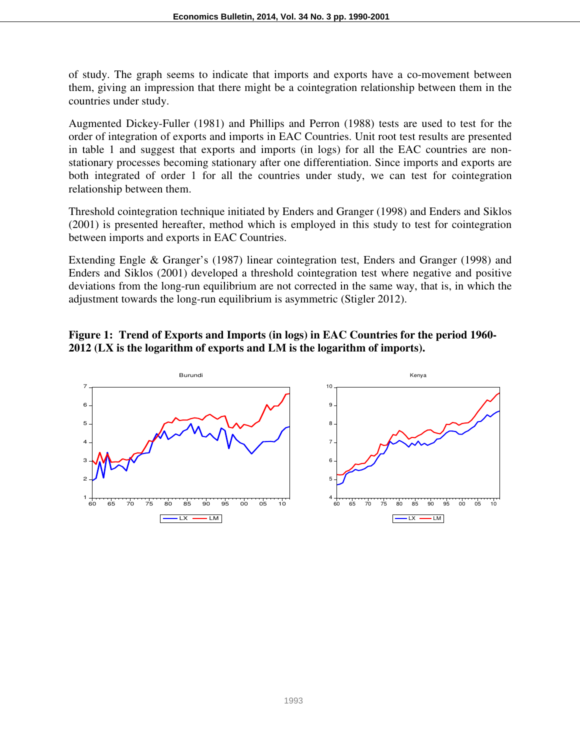of study. The graph seems to indicate that imports and exports have a co-movement between them, giving an impression that there might be a cointegration relationship between them in the countries under study.

Augmented Dickey-Fuller (1981) and Phillips and Perron (1988) tests are used to test for the order of integration of exports and imports in EAC Countries. Unit root test results are presented in table 1 and suggest that exports and imports (in logs) for all the EAC countries are nonstationary processes becoming stationary after one differentiation. Since imports and exports are both integrated of order 1 for all the countries under study, we can test for cointegration relationship between them.

Threshold cointegration technique initiated by Enders and Granger (1998) and Enders and Siklos (2001) is presented hereafter, method which is employed in this study to test for cointegration between imports and exports in EAC Countries.

Extending Engle & Granger's (1987) linear cointegration test, Enders and Granger (1998) and Enders and Siklos (2001) developed a threshold cointegration test where negative and positive deviations from the long-run equilibrium are not corrected in the same way, that is, in which the adjustment towards the long-run equilibrium is asymmetric (Stigler 2012).

#### **Figure 1: Trend of Exports and Imports (in logs) in EAC Countries for the period 1960- 2012 (LX is the logarithm of exports and LM is the logarithm of imports).**

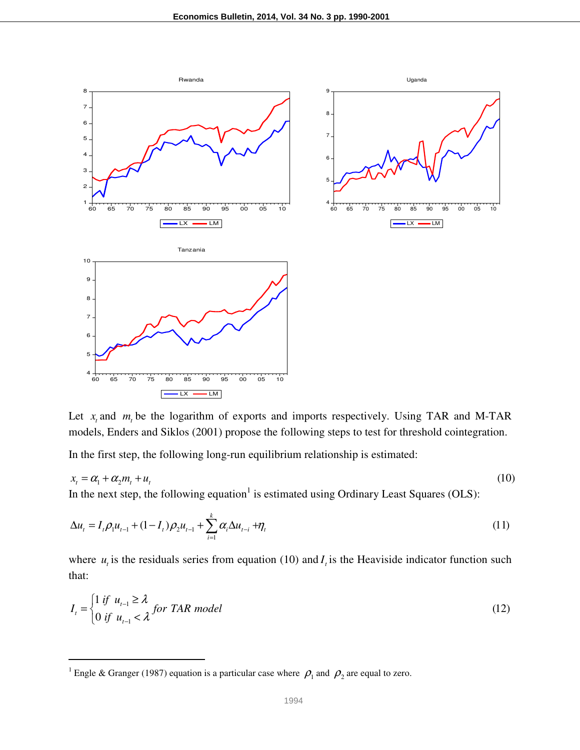

Let  $x_t$  and  $m_t$  be the logarithm of exports and imports respectively. Using TAR and M-TAR models, Enders and Siklos (2001) propose the following steps to test for threshold cointegration.

In the first step, the following long-run equilibrium relationship is estimated:

$$
x_t = \alpha_1 + \alpha_2 m_t + u_t \tag{10}
$$

In the next step, the following equation<sup>1</sup> is estimated using Ordinary Least Squares (OLS):

$$
\Delta u_t = I_t \rho_1 u_{t-1} + (1 - I_t) \rho_2 u_{t-1} + \sum_{i=1}^k \alpha_i \Delta u_{t-i} + \eta_t
$$
\n(11)

where  $u_t$  is the residuals series from equation (10) and  $I_t$  is the Heaviside indicator function such that:

$$
I_{t} = \begin{cases} 1 \text{ if } u_{t-1} \geq \lambda \\ 0 \text{ if } u_{t-1} < \lambda \end{cases} \text{ for } TAR \text{ model} \tag{12}
$$

l

<sup>&</sup>lt;sup>1</sup> Engle & Granger (1987) equation is a particular case where  $\rho_1$  and  $\rho_2$  are equal to zero.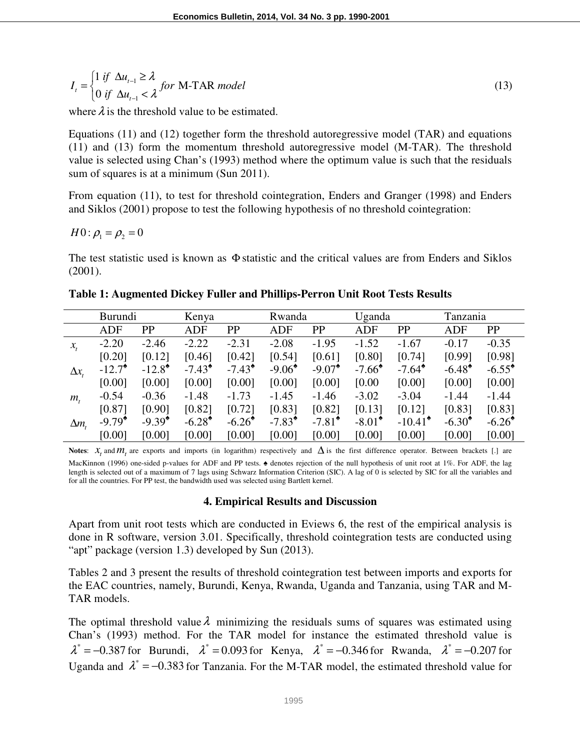$$
I_{t} = \begin{cases} 1 \text{ if } \Delta u_{t-1} \ge \lambda \\ 0 \text{ if } \Delta u_{t-1} < \lambda \end{cases} \text{ for M-TAR model} \tag{13}
$$

where  $\lambda$  is the threshold value to be estimated.

Equations (11) and (12) together form the threshold autoregressive model (TAR) and equations (11) and (13) form the momentum threshold autoregressive model (M-TAR). The threshold value is selected using Chan's (1993) method where the optimum value is such that the residuals sum of squares is at a minimum (Sun 2011).

From equation (11), to test for threshold cointegration, Enders and Granger (1998) and Enders and Siklos (2001) propose to test the following hypothesis of no threshold cointegration:

$$
H0: \rho_1 = \rho_2 = 0
$$

The test statistic used is known as Φ statistic and the critical values are from Enders and Siklos (2001).

|                            | Burundi              |                      | Kenya                |                      | Rwanda          |                      | Uganda          |                       | Tanzania        |                      |
|----------------------------|----------------------|----------------------|----------------------|----------------------|-----------------|----------------------|-----------------|-----------------------|-----------------|----------------------|
|                            | <b>ADF</b>           | PP                   | ADF                  | PP                   | <b>ADF</b>      | PP                   | <b>ADF</b>      | PP                    | <b>ADF</b>      | <b>PP</b>            |
| $x_{t}$                    | $-2.20$              | $-2.46$              | $-2.22$              | $-2.31$              | $-2.08$         | $-1.95$              | $-1.52$         | $-1.67$               | $-0.17$         | $-0.35$              |
|                            | [0.20]               | [0.12]               | [0.46]               | [0.42]               | [0.54]          | [0.61]               | [0.80]          | [0.74]                | [0.99]          | [0.98]               |
| $\Delta x$                 | $-12.7$ <sup>*</sup> | $-12.8$ <sup>*</sup> | $-7.43^{\bullet}$    | $-7.43^{\circ}$      | $-9.06^{\circ}$ | $-9.07$ <sup>*</sup> | $-7.66^{\circ}$ | $-7.64$ <sup>*</sup>  | $-6.48^{\circ}$ | $-6.55^{\circ}$      |
|                            | [0.00]               | [0.00]               | [0.00]               | [0.00]               | [0.00]          | [0.00]               | [0.00]          | [0.00]                | [0.00]          | [0.00]               |
| $m_{\scriptscriptstyle t}$ | $-0.54$              | $-0.36$              | $-1.48$              | $-1.73$              | $-1.45$         | $-1.46$              | $-3.02$         | $-3.04$               | $-1.44$         | $-1.44$              |
|                            | [0.87]               | [0.90]               | [0.82]               | [0.72]               | [0.83]          | [0.82]               | [0.13]          | [0.12]                | [0.83]          | [0.83]               |
| $\Delta m$ ,               | $-9.79^{\circ}$      | $-9.39^{\circ}$      | $-6.28$ <sup>*</sup> | $-6.26$ <sup>*</sup> | $-7.83^*$       | $-7.81^{\circ}$      | $-8.01^*$       | $-10.41$ <sup>*</sup> | $-6.30^{\circ}$ | $-6.26$ <sup>*</sup> |
|                            | [0.00]               | [0.00]               | [0.00]               | [0.00]               | [0.00]          | [0.00]               | [0.00]          | [0.00]                | [0.00]          | [0.00]               |

**Table 1: Augmented Dickey Fuller and Phillips-Perron Unit Root Tests Results** 

Notes:  $x_t$  and  $m_t$  are exports and imports (in logarithm) respectively and  $\Delta$  is the first difference operator. Between brackets [.] are MacKinnon (1996) one-sided p-values for ADF and PP tests. ♠ denotes rejection of the null hypothesis of unit root at 1%. For ADF, the lag length is selected out of a maximum of 7 lags using Schwarz Information Criterion (SIC). A lag of 0 is selected by SIC for all the variables and

for all the countries. For PP test, the bandwidth used was selected using Bartlett kernel.

#### **4. Empirical Results and Discussion**

Apart from unit root tests which are conducted in Eviews 6, the rest of the empirical analysis is done in R software, version 3.01. Specifically, threshold cointegration tests are conducted using "apt" package (version 1.3) developed by Sun (2013).

Tables 2 and 3 present the results of threshold cointegration test between imports and exports for the EAC countries, namely, Burundi, Kenya, Rwanda, Uganda and Tanzania, using TAR and M-TAR models.

The optimal threshold value  $\lambda$  minimizing the residuals sums of squares was estimated using Chan's (1993) method. For the TAR model for instance the estimated threshold value is  $\lambda^* = -0.387$  for Burundi,  $\lambda^* = 0.093$  for Kenya,  $\lambda^* = -0.346$  for Rwanda,  $\lambda^* = -0.207$  for Uganda and  $\lambda^* = -0.383$  for Tanzania. For the M-TAR model, the estimated threshold value for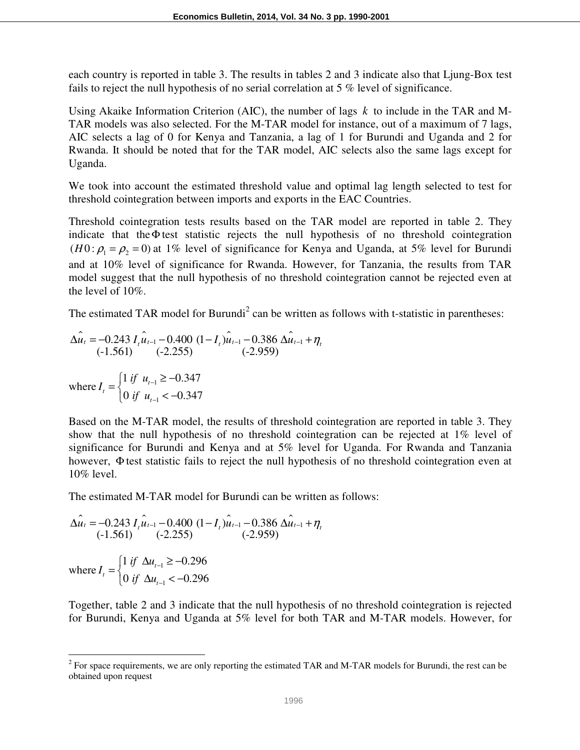each country is reported in table 3. The results in tables 2 and 3 indicate also that Ljung-Box test fails to reject the null hypothesis of no serial correlation at 5 % level of significance.

Using Akaike Information Criterion (AIC), the number of lags *k* to include in the TAR and M-TAR models was also selected. For the M-TAR model for instance, out of a maximum of 7 lags, AIC selects a lag of 0 for Kenya and Tanzania, a lag of 1 for Burundi and Uganda and 2 for Rwanda. It should be noted that for the TAR model, AIC selects also the same lags except for Uganda.

We took into account the estimated threshold value and optimal lag length selected to test for threshold cointegration between imports and exports in the EAC Countries.

Threshold cointegration tests results based on the TAR model are reported in table 2. They indicate that theΦ test statistic rejects the null hypothesis of no threshold cointegration  $(H0: \rho_1 = \rho_2 = 0)$  at 1% level of significance for Kenya and Uganda, at 5% level for Burundi and at 10% level of significance for Rwanda. However, for Tanzania, the results from TAR model suggest that the null hypothesis of no threshold cointegration cannot be rejected even at the level of 10%.

The estimated TAR model for Burundi<sup>2</sup> can be written as follows with t-statistic in parentheses:

$$
\hat{\Delta u_t} = -0.243 I_t \hat{u}_{t-1} - 0.400 (1 - I_t) \hat{u}_{t-1} - 0.386 \hat{\Delta u}_{t-1} + \eta_t
$$
  
(-1.561) (-2.255) (-2.959)  
where  $I_t = \begin{cases} 1 \text{ if } u_{t-1} \ge -0.347 \\ 0 \text{ if } u_{t-1} < -0.347 \end{cases}$ 

Based on the M-TAR model, the results of threshold cointegration are reported in table 3. They show that the null hypothesis of no threshold cointegration can be rejected at 1% level of significance for Burundi and Kenya and at 5% level for Uganda. For Rwanda and Tanzania however, Φ test statistic fails to reject the null hypothesis of no threshold cointegration even at 10% level.

The estimated M-TAR model for Burundi can be written as follows:

$$
\hat{\Delta u_t} = -0.243 I_t \hat{u}_{t-1} - 0.400 (1 - I_t) \hat{u}_{t-1} - 0.386 \hat{\Delta u}_{t-1} + \eta_t
$$
  
(-1.561) (-2.255) (-2.959)  
where  $I_t = \begin{cases} 1 \text{ if } \Delta u_{t-1} \ge -0.296 \\ 0 \text{ if } \Delta u_{t-1} < -0.296 \end{cases}$ 

 $\overline{a}$ 

Together, table 2 and 3 indicate that the null hypothesis of no threshold cointegration is rejected for Burundi, Kenya and Uganda at 5% level for both TAR and M-TAR models. However, for

 $2^2$  For space requirements, we are only reporting the estimated TAR and M-TAR models for Burundi, the rest can be obtained upon request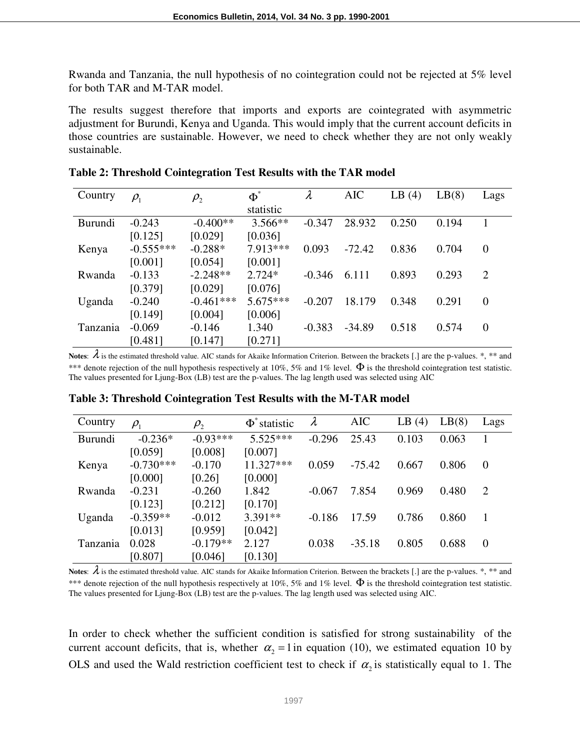Rwanda and Tanzania, the null hypothesis of no cointegration could not be rejected at 5% level for both TAR and M-TAR model.

The results suggest therefore that imports and exports are cointegrated with asymmetric adjustment for Burundi, Kenya and Uganda. This would imply that the current account deficits in those countries are sustainable. However, we need to check whether they are not only weakly sustainable.

| Country  | $\rho_{\scriptscriptstyle 1}$ | $\rho_{_2}$ | $\Phi^*$   | $\lambda$ | <b>AIC</b> | LB(4) | LB(8) | Lags           |
|----------|-------------------------------|-------------|------------|-----------|------------|-------|-------|----------------|
|          |                               |             | statistic  |           |            |       |       |                |
| Burundi  | $-0.243$                      | $-0.400**$  | $3.566**$  | $-0.347$  | 28.932     | 0.250 | 0.194 |                |
|          | [0.125]                       | [0.029]     | [0.036]    |           |            |       |       |                |
| Kenya    | $-0.555***$                   | $-0.288*$   | 7.913 ***  | 0.093     | $-72.42$   | 0.836 | 0.704 | $\overline{0}$ |
|          | [0.001]                       | [0.054]     | [0.001]    |           |            |       |       |                |
| Rwanda   | $-0.133$                      | $-2.248**$  | $2.724*$   | $-0.346$  | 6.111      | 0.893 | 0.293 | $\overline{2}$ |
|          | [0.379]                       | [0.029]     | [0.076]    |           |            |       |       |                |
| Uganda   | $-0.240$                      | $-0.461***$ | $5.675***$ | $-0.207$  | 18.179     | 0.348 | 0.291 | $\overline{0}$ |
|          | [0.149]                       | [0.004]     | [0.006]    |           |            |       |       |                |
| Tanzania | $-0.069$                      | $-0.146$    | 1.340      | $-0.383$  | $-34.89$   | 0.518 | 0.574 | 0              |
|          | [0.481]                       | [0.147]     | [0.271]    |           |            |       |       |                |

| Table 2: Threshold Cointegration Test Results with the TAR model |  |  |
|------------------------------------------------------------------|--|--|
|                                                                  |  |  |

**Notes:**  $\lambda$  is the estimated threshold value. AIC stands for Akaike Information Criterion. Between the brackets [.] are the p-values.  $*, **$  and \*\*\* denote rejection of the null hypothesis respectively at 10%, 5% and 1% level.  $\Phi$  is the threshold cointegration test statistic. The values presented for Ljung-Box (LB) test are the p-values. The lag length used was selected using AIC

| Country        | $\rho_{_1}$ | $\rho_{_2}$ | $\Phi^*$ statistic | $\lambda$ | <b>AIC</b> | LB<br>(4) | LB(8) | Lags           |
|----------------|-------------|-------------|--------------------|-----------|------------|-----------|-------|----------------|
| <b>Burundi</b> | $-0.236*$   | $-0.93***$  | $5.525***$         | $-0.296$  | 25.43      | 0.103     | 0.063 | 1              |
|                | [0.059]     | [0.008]     | [0.007]            |           |            |           |       |                |
| Kenya          | $-0.730***$ | $-0.170$    | $11.327***$        | 0.059     | $-75.42$   | 0.667     | 0.806 | $\overline{0}$ |
|                | [0.000]     | [0.26]      | [0.000]            |           |            |           |       |                |
| Rwanda         | $-0.231$    | $-0.260$    | 1.842              | $-0.067$  | 7.854      | 0.969     | 0.480 | $\overline{2}$ |
|                | [0.123]     | [0.212]     | [0.170]            |           |            |           |       |                |
| Uganda         | $-0.359**$  | $-0.012$    | 3.391**            | $-0.186$  | 17.59      | 0.786     | 0.860 |                |
|                | [0.013]     | [0.959]     | [0.042]            |           |            |           |       |                |
| Tanzania       | 0.028       | $-0.179**$  | 2.127              | 0.038     | $-35.18$   | 0.805     | 0.688 | $\overline{0}$ |
|                | [0.807]     | [0.046]     | [0.130]            |           |            |           |       |                |

**Table 3: Threshold Cointegration Test Results with the M-TAR model** 

**Notes:**  $\lambda$  is the estimated threshold value. AIC stands for Akaike Information Criterion. Between the brackets [.] are the p-values.  $*, **$  and \*\*\* denote rejection of the null hypothesis respectively at 10%, 5% and 1% level.  $\Phi$  is the threshold cointegration test statistic. The values presented for Ljung-Box (LB) test are the p-values. The lag length used was selected using AIC.

In order to check whether the sufficient condition is satisfied for strong sustainability of the current account deficits, that is, whether  $\alpha_2 = 1$  in equation (10), we estimated equation 10 by OLS and used the Wald restriction coefficient test to check if  $\alpha_2$  is statistically equal to 1. The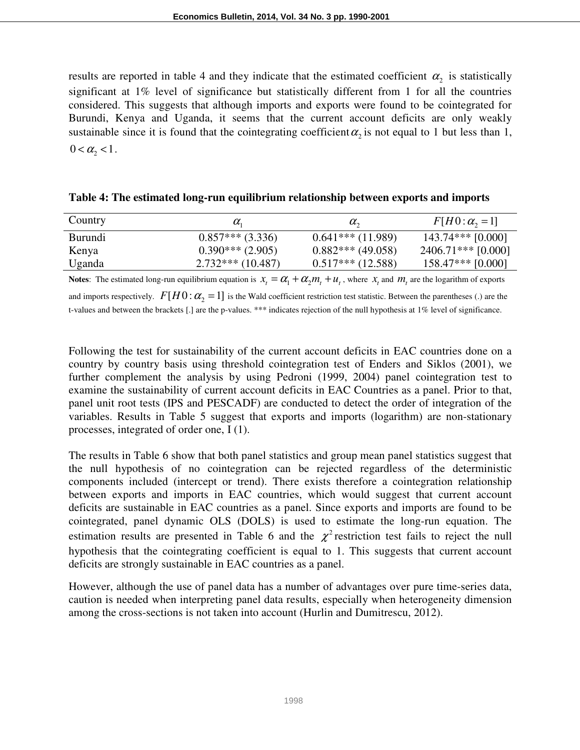results are reported in table 4 and they indicate that the estimated coefficient  $\alpha_2$  is statistically significant at 1% level of significance but statistically different from 1 for all the countries considered. This suggests that although imports and exports were found to be cointegrated for Burundi, Kenya and Uganda, it seems that the current account deficits are only weakly sustainable since it is found that the cointegrating coefficient  $\alpha_2$  is not equal to 1 but less than 1,  $0 < \alpha_{2} < 1$ .

| Country        | $\alpha_{i}$       | $\alpha_{\gamma}$   | $F[H0:\alpha,-1]$    |
|----------------|--------------------|---------------------|----------------------|
| <b>Burundi</b> | $0.857***(3.336)$  | $0.641***(11.989)$  | $143.74***$ [0.000]  |
| Kenya          | $0.390***$ (2.905) | $0.882***$ (49.058) | $2406.71***$ [0.000] |
| Uganda         | $2.732***(10.487)$ | $0.517***$ (12.588) | $158.47***$ [0.000]  |

| Table 4: The estimated long-run equilibrium relationship between exports and imports |  |  |  |
|--------------------------------------------------------------------------------------|--|--|--|
|                                                                                      |  |  |  |

**Notes**: The estimated long-run equilibrium equation is  $x_t = \alpha_1 + \alpha_2 m_t + u_t$ , where  $x_t$  and  $m_t$  are the logarithm of exports and imports respectively.  $F[H0 : \alpha_{2} = 1]$  is the Wald coefficient restriction test statistic. Between the parentheses (.) are the t-values and between the brackets [.] are the p-values. \*\*\* indicates rejection of the null hypothesis at 1% level of significance.

Following the test for sustainability of the current account deficits in EAC countries done on a country by country basis using threshold cointegration test of Enders and Siklos (2001), we further complement the analysis by using Pedroni (1999, 2004) panel cointegration test to examine the sustainability of current account deficits in EAC Countries as a panel. Prior to that, panel unit root tests (IPS and PESCADF) are conducted to detect the order of integration of the variables. Results in Table 5 suggest that exports and imports (logarithm) are non-stationary processes, integrated of order one, I (1).

The results in Table 6 show that both panel statistics and group mean panel statistics suggest that the null hypothesis of no cointegration can be rejected regardless of the deterministic components included (intercept or trend). There exists therefore a cointegration relationship between exports and imports in EAC countries, which would suggest that current account deficits are sustainable in EAC countries as a panel. Since exports and imports are found to be cointegrated, panel dynamic OLS (DOLS) is used to estimate the long-run equation. The estimation results are presented in Table 6 and the  $\chi^2$  restriction test fails to reject the null hypothesis that the cointegrating coefficient is equal to 1. This suggests that current account deficits are strongly sustainable in EAC countries as a panel.

However, although the use of panel data has a number of advantages over pure time-series data, caution is needed when interpreting panel data results, especially when heterogeneity dimension among the cross-sections is not taken into account (Hurlin and Dumitrescu, 2012).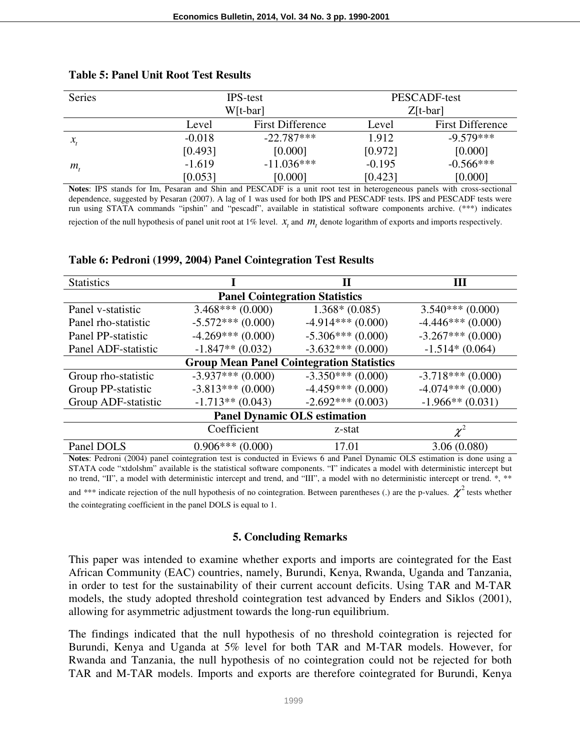| <b>Series</b>                   |          | <b>IPS-test</b>         | PESCADF-test |                         |  |
|---------------------------------|----------|-------------------------|--------------|-------------------------|--|
|                                 |          | W[t-bar]                | $Z[t-bar]$   |                         |  |
|                                 | Level    | <b>First Difference</b> | Level        | <b>First Difference</b> |  |
| $\mathcal{X}_{\epsilon}$        | $-0.018$ | $-22.787***$            | 1.912        | $-9.579***$             |  |
|                                 | [0.493]  | [0.000]                 | [0.972]      | [0.000]                 |  |
| $m_{\scriptscriptstyle{\star}}$ | $-1.619$ | $-11.036***$            | $-0.195$     | $-0.566***$             |  |
|                                 | [0.053]  | [0.000]                 | [0.423]      | [0.000]                 |  |

#### **Table 5: Panel Unit Root Test Results**

**Notes**: IPS stands for Im, Pesaran and Shin and PESCADF is a unit root test in heterogeneous panels with cross-sectional dependence, suggested by Pesaran (2007). A lag of 1 was used for both IPS and PESCADF tests. IPS and PESCADF tests were run using STATA commands "ipshin" and "pescadf", available in statistical software components archive. (\*\*\*) indicates rejection of the null hypothesis of panel unit root at  $1\%$  level.  $x_t$  and  $m_t$  denote logarithm of exports and imports respectively.

#### **Table 6: Pedroni (1999, 2004) Panel Cointegration Test Results**

| <b>Statistics</b>                                |                    |                    | Ш                   |  |  |  |  |  |
|--------------------------------------------------|--------------------|--------------------|---------------------|--|--|--|--|--|
| <b>Panel Cointegration Statistics</b>            |                    |                    |                     |  |  |  |  |  |
| Panel v-statistic                                | $3.468***(0.000)$  | $1.368*(0.085)$    | $3.540***(0.000)$   |  |  |  |  |  |
| Panel rho-statistic                              | $-5.572***(0.000)$ | $-4.914***(0.000)$ | $-4.446***(0.000)$  |  |  |  |  |  |
| Panel PP-statistic                               | $-4.269***(0.000)$ | $-5.306***(0.000)$ | $-3.267***(0.000)$  |  |  |  |  |  |
| Panel ADF-statistic                              | $-1.847**$ (0.032) | $-3.632***(0.000)$ | $-1.514*(0.064)$    |  |  |  |  |  |
| <b>Group Mean Panel Cointegration Statistics</b> |                    |                    |                     |  |  |  |  |  |
| Group rho-statistic                              | $-3.937***(0.000)$ | $-3.350***(0.000)$ | $-3.718***$ (0.000) |  |  |  |  |  |
| Group PP-statistic                               | $-3.813***(0.000)$ | $-4.459***(0.000)$ | $-4.074***(0.000)$  |  |  |  |  |  |
| Group ADF-statistic                              | $-1.713**$ (0.043) | $-2.692***(0.003)$ | $-1.966**$ (0.031)  |  |  |  |  |  |
| <b>Panel Dynamic OLS estimation</b>              |                    |                    |                     |  |  |  |  |  |
| Coefficient<br>z-stat                            |                    |                    |                     |  |  |  |  |  |
| Panel DOLS                                       | $0.906***(0.000)$  | 17.01              | 3.06(0.080)         |  |  |  |  |  |

**Notes**: Pedroni (2004) panel cointegration test is conducted in Eviews 6 and Panel Dynamic OLS estimation is done using a STATA code "xtdolshm" available is the statistical software components. "I" indicates a model with deterministic intercept but no trend, "II", a model with deterministic intercept and trend, and "III", a model with no deterministic intercept or trend. \*, \*\*

and \*\*\* indicate rejection of the null hypothesis of no cointegration. Between parentheses (.) are the p-values.  $\chi^2$  tests whether the cointegrating coefficient in the panel DOLS is equal to 1.

#### **5. Concluding Remarks**

This paper was intended to examine whether exports and imports are cointegrated for the East African Community (EAC) countries, namely, Burundi, Kenya, Rwanda, Uganda and Tanzania, in order to test for the sustainability of their current account deficits. Using TAR and M-TAR models, the study adopted threshold cointegration test advanced by Enders and Siklos (2001), allowing for asymmetric adjustment towards the long-run equilibrium.

The findings indicated that the null hypothesis of no threshold cointegration is rejected for Burundi, Kenya and Uganda at 5% level for both TAR and M-TAR models. However, for Rwanda and Tanzania, the null hypothesis of no cointegration could not be rejected for both TAR and M-TAR models. Imports and exports are therefore cointegrated for Burundi, Kenya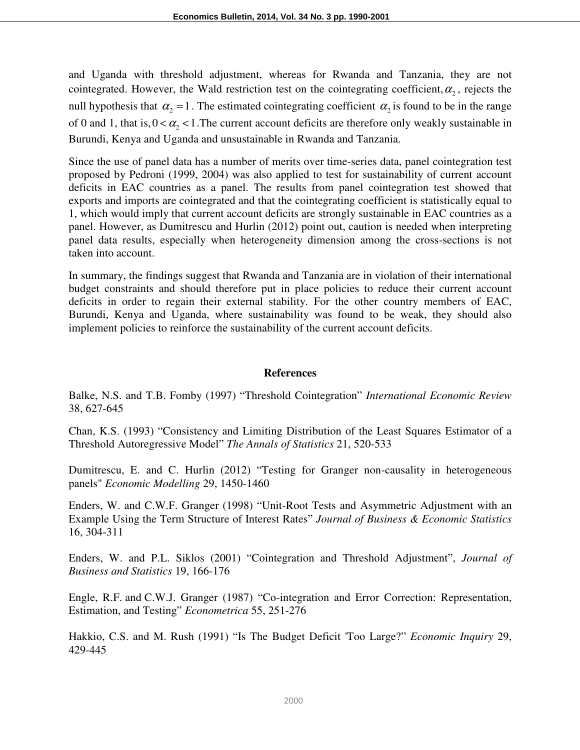and Uganda with threshold adjustment, whereas for Rwanda and Tanzania, they are not cointegrated. However, the Wald restriction test on the cointegrating coefficient,  $\alpha_2$ , rejects the null hypothesis that  $\alpha_2 = 1$ . The estimated cointegrating coefficient  $\alpha_2$  is found to be in the range of 0 and 1, that is,  $0 < \alpha_2 < 1$ . The current account deficits are therefore only weakly sustainable in Burundi, Kenya and Uganda and unsustainable in Rwanda and Tanzania.

Since the use of panel data has a number of merits over time-series data, panel cointegration test proposed by Pedroni (1999, 2004) was also applied to test for sustainability of current account deficits in EAC countries as a panel. The results from panel cointegration test showed that exports and imports are cointegrated and that the cointegrating coefficient is statistically equal to 1, which would imply that current account deficits are strongly sustainable in EAC countries as a panel. However, as Dumitrescu and Hurlin (2012) point out, caution is needed when interpreting panel data results, especially when heterogeneity dimension among the cross-sections is not taken into account.

In summary, the findings suggest that Rwanda and Tanzania are in violation of their international budget constraints and should therefore put in place policies to reduce their current account deficits in order to regain their external stability. For the other country members of EAC, Burundi, Kenya and Uganda, where sustainability was found to be weak, they should also implement policies to reinforce the sustainability of the current account deficits.

#### **References**

Balke, N.S. and T.B. Fomby (1997) "Threshold Cointegration" *International Economic Review* 38, 627-645

Chan, K.S. (1993) "Consistency and Limiting Distribution of the Least Squares Estimator of a Threshold Autoregressive Model" *The Annals of Statistics* 21, 520-533

Dumitrescu, E. and C. Hurlin (2012) "Testing for Granger non-causality in heterogeneous panels" *Economic Modelling* 29, 1450-1460

Enders, W. and C.W.F. Granger (1998) "Unit-Root Tests and Asymmetric Adjustment with an Example Using the Term Structure of Interest Rates" *Journal of Business & Economic Statistics* 16, 304-311

Enders, W. and P.L. Siklos (2001) "Cointegration and Threshold Adjustment", *Journal of Business and Statistics* 19, 166-176

Engle, R.F. and C.W.J. Granger (1987) "Co-integration and Error Correction: Representation, Estimation, and Testing" *Econometrica* 55, 251-276

Hakkio, C.S. and M. Rush (1991) "Is The Budget Deficit 'Too Large?" *Economic Inquiry* 29, 429-445